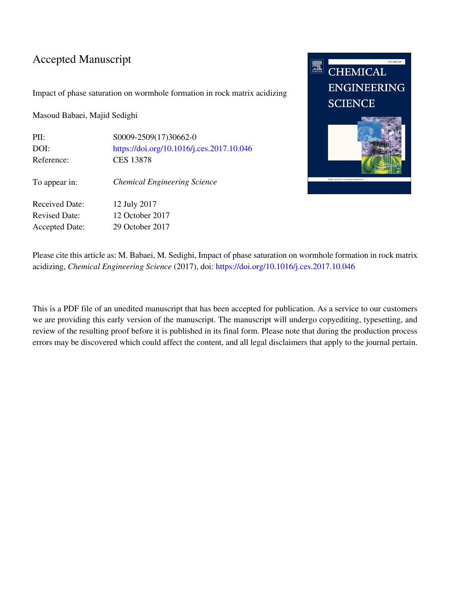### Accepted Manuscript

Impact of phase saturation on wormhole formation in rock matrix acidizing

Masoud Babaei, Majid Sedighi

PII: S0009-2509(17)30662-0 DOI: <https://doi.org/10.1016/j.ces.2017.10.046> Reference: CES 13878 To appear in: *Chemical Engineering Science* Received Date: 12 July 2017

Revised Date: 12 October 2017 Accepted Date: 29 October 2017



Please cite this article as: M. Babaei, M. Sedighi, Impact of phase saturation on wormhole formation in rock matrix acidizing, *Chemical Engineering Science* (2017), doi:<https://doi.org/10.1016/j.ces.2017.10.046>

This is a PDF file of an unedited manuscript that has been accepted for publication. As a service to our customers we are providing this early version of the manuscript. The manuscript will undergo copyediting, typesetting, and review of the resulting proof before it is published in its final form. Please note that during the production process errors may be discovered which could affect the content, and all legal disclaimers that apply to the journal pertain.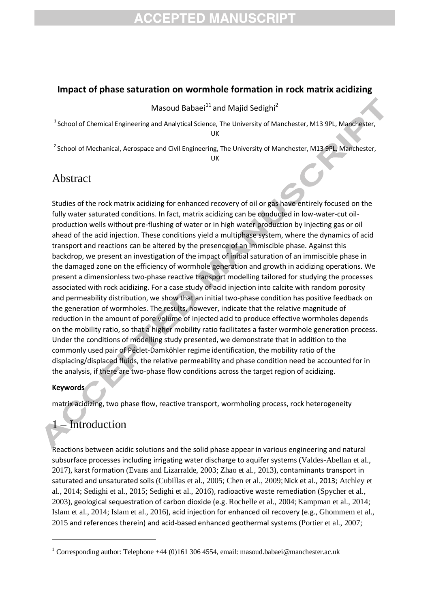# **CCEPTED MANUSCRIPT**

#### **Impact of phase saturation on wormhole formation in rock matrix acidizing**

Masoud Babaei<sup>11</sup> and Majid Sedighi<sup>2</sup>

<sup>1</sup> School of Chemical Engineering and Analytical Science, The University of Manchester, M13 9PL, Manchester, UK

<sup>2</sup> School of Mechanical, Aerospace and Civil Engineering, The University of Manchester, M13 9PL, Manchester,

UK

### Abstract

Studies of the rock matrix acidizing for enhanced recovery of oil or gas have entirely focused on the fully water saturated conditions. In fact, matrix acidizing can be conducted in low-water-cut oilproduction wells without pre-flushing of water or in high water production by injecting gas or oil ahead of the acid injection. These conditions yield a multiphase system, where the dynamics of acid transport and reactions can be altered by the presence of an immiscible phase. Against this backdrop, we present an investigation of the impact of initial saturation of an immiscible phase in the damaged zone on the efficiency of wormhole generation and growth in acidizing operations. We present a dimensionless two-phase reactive transport modelling tailored for studying the processes associated with rock acidizing. For a case study of acid injection into calcite with random porosity and permeability distribution, we show that an initial two-phase condition has positive feedback on the generation of wormholes. The results, however, indicate that the relative magnitude of reduction in the amount of pore volume of injected acid to produce effective wormholes depends on the mobility ratio, so that a higher mobility ratio facilitates a faster wormhole generation process. Under the conditions of modelling study presented, we demonstrate that in addition to the commonly used pair of Péclet-Damköhler regime identification, the mobility ratio of the displacing/displaced fluids, the relative permeability and phase condition need be accounted for in the analysis, if there are two-phase flow conditions across the target region of acidizing.

#### **Keywords**

**.** 

matrix acidizing, two phase flow, reactive transport, wormholing process, rock heterogeneity

## 1 – Introduction

Reactions between acidic solutions and the solid phase appear in various engineering and natural subsurface processes including irrigating water discharge to aquifer systems (Valdes-Abellan et al., 2017), karst formation (Evans and Lizarralde, 2003; Zhao et al., 2013), contaminants transport in saturated and unsaturated soils (Cubillas et al., 2005; Chen et al., 2009; Nick et al., 2013; Atchley et al., 2014; Sedighi et al., 2015; Sedighi et al., 2016), radioactive waste remediation (Spycher et al., 2003), geological sequestration of carbon dioxide (e.g. Rochelle et al., 2004;Kampman et al., 2014; Islam et al., 2014; Islam et al., 2016), acid injection for enhanced oil recovery (e.g., Ghommem et al., 2015 and references therein) and acid-based enhanced geothermal systems (Portier et al., 2007;

<sup>&</sup>lt;sup>1</sup> Corresponding author: Telephone +44 (0)161 306 4554, email: masoud.babaei@manchester.ac.uk